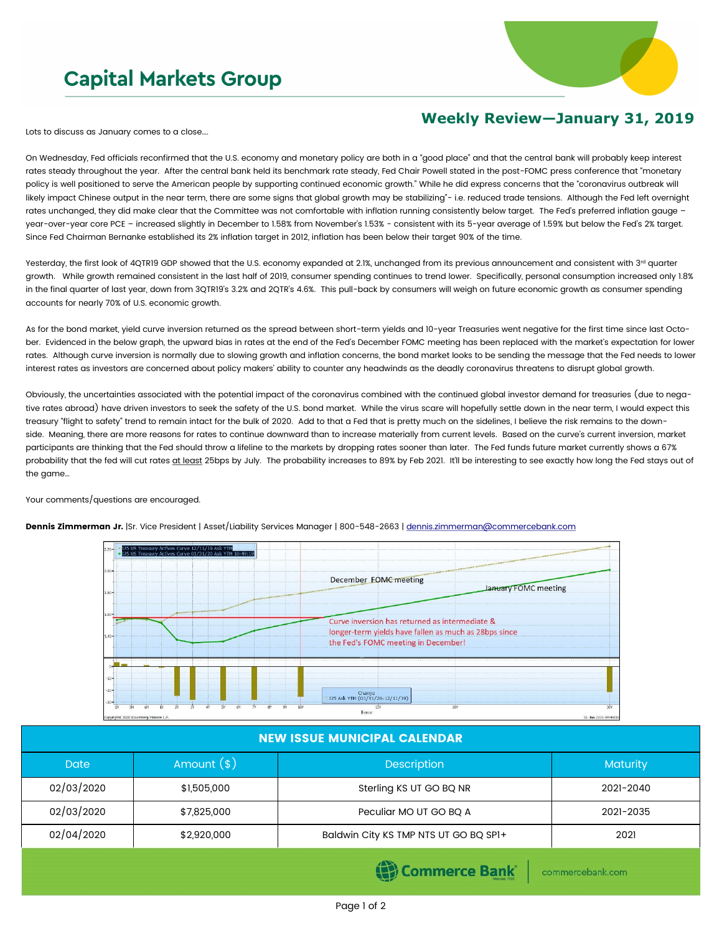## **Capital Markets Group**



## **Weekly Review—January 31, 2019**

Lots to discuss as January comes to a close….

On Wednesday, Fed officials reconfirmed that the U.S. economy and monetary policy are both in a "good place" and that the central bank will probably keep interest rates steady throughout the year. After the central bank held its benchmark rate steady, Fed Chair Powell stated in the post-FOMC press conference that "monetary policy is well positioned to serve the American people by supporting continued economic growth." While he did express concerns that the "coronavirus outbreak will likely impact Chinese output in the near term, there are some signs that global growth may be stabilizing"- i.e. reduced trade tensions. Although the Fed left overnight rates unchanged, they did make clear that the Committee was not comfortable with inflation running consistently below target. The Fed's preferred inflation gauge year-over-year core PCE – increased slightly in December to 1.58% from November's 1.53% - consistent with its 5-year average of 1.59% but below the Fed's 2% target. Since Fed Chairman Bernanke established its 2% inflation target in 2012, inflation has been below their target 90% of the time.

Yesterday, the first look of 4QTR19 GDP showed that the U.S. economy expanded at 2.1%, unchanged from its previous announcement and consistent with 3rd quarter growth. While growth remained consistent in the last half of 2019, consumer spending continues to trend lower. Specifically, personal consumption increased only 1.8% in the final quarter of last year, down from 3QTR19's 3.2% and 2QTR's 4.6%. This pull-back by consumers will weigh on future economic growth as consumer spending accounts for nearly 70% of U.S. economic growth.

As for the bond market, yield curve inversion returned as the spread between short-term yields and 10-year Treasuries went negative for the first time since last October. Evidenced in the below graph, the upward bias in rates at the end of the Fed's December FOMC meeting has been replaced with the market's expectation for lower rates. Although curve inversion is normally due to slowing growth and inflation concerns, the bond market looks to be sending the message that the Fed needs to lower interest rates as investors are concerned about policy makers' ability to counter any headwinds as the deadly coronavirus threatens to disrupt global growth.

Obviously, the uncertainties associated with the potential impact of the coronavirus combined with the continued global investor demand for treasuries (due to negative rates abroad) have driven investors to seek the safety of the U.S. bond market. While the virus scare will hopefully settle down in the near term, I would expect this treasury "flight to safety" trend to remain intact for the bulk of 2020. Add to that a Fed that is pretty much on the sidelines, I believe the risk remains to the downside. Meaning, there are more reasons for rates to continue downward than to increase materially from current levels. Based on the curve's current inversion, market participants are thinking that the Fed should throw a lifeline to the markets by dropping rates sooner than later. The Fed funds future market currently shows a 67% probability that the fed will cut rates at least 25bps by July. The probability increases to 89% by Feb 2021. It'll be interesting to see exactly how long the Fed stays out of the game…

Your comments/questions are encouraged.



Dennis Zimmerman Jr. |Sr. Vice President | Asset/Liability Services Manager | 800-548-2663 | [dennis.zimmerman@commercebank.com](mailto:Dennis.Zimmerman@commercebank.com)

| <b>NEW ISSUE MUNICIPAL CALENDAR</b> |              |                                       |           |  |  |  |  |
|-------------------------------------|--------------|---------------------------------------|-----------|--|--|--|--|
| <b>Date</b>                         | Amount $(*)$ | Description                           |           |  |  |  |  |
| 02/03/2020                          | \$1,505,000  | Sterling KS UT GO BQ NR               | 2021-2040 |  |  |  |  |
| 02/03/2020                          | \$7,825,000  | Peculiar MO UT GO BQ A                | 2021-2035 |  |  |  |  |
| 02/04/2020                          | \$2,920,000  | Baldwin City KS TMP NTS UT GO BQ SP1+ | 2021      |  |  |  |  |
|                                     |              | <b>STATISTICS</b>                     |           |  |  |  |  |

**(B)** Commerce Bank

commercebank.com